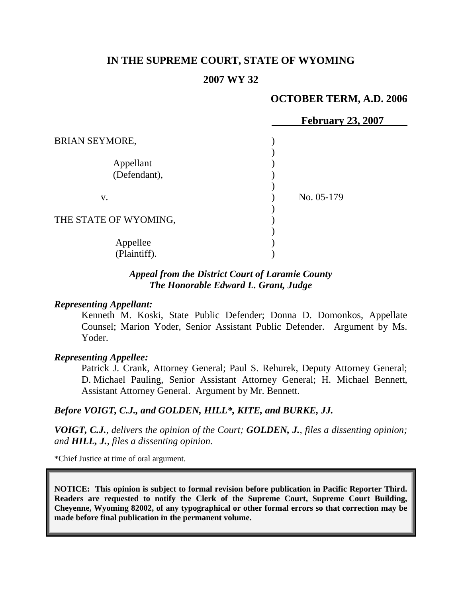# **IN THE SUPREME COURT, STATE OF WYOMING**

## **2007 WY 32**

## **OCTOBER TERM, A.D. 2006**

|                       | <b>February 23, 2007</b> |
|-----------------------|--------------------------|
| <b>BRIAN SEYMORE,</b> |                          |
|                       |                          |
| Appellant             |                          |
| (Defendant),          |                          |
|                       |                          |
| V.                    | No. 05-179               |
|                       |                          |
| THE STATE OF WYOMING, |                          |
|                       |                          |
| Appellee              |                          |
| (Plaintiff).          |                          |

## *Appeal from the District Court of Laramie County The Honorable Edward L. Grant, Judge*

#### *Representing Appellant:*

Kenneth M. Koski, State Public Defender; Donna D. Domonkos, Appellate Counsel; Marion Yoder, Senior Assistant Public Defender. Argument by Ms. Yoder.

#### *Representing Appellee:*

Patrick J. Crank, Attorney General; Paul S. Rehurek, Deputy Attorney General; D. Michael Pauling, Senior Assistant Attorney General; H. Michael Bennett, Assistant Attorney General. Argument by Mr. Bennett.

# *Before VOIGT, C.J., and GOLDEN, HILL\*, KITE, and BURKE, JJ.*

*VOIGT, C.J., delivers the opinion of the Court; GOLDEN, J., files a dissenting opinion; and HILL, J., files a dissenting opinion.*

\*Chief Justice at time of oral argument.

**NOTICE: This opinion is subject to formal revision before publication in Pacific Reporter Third. Readers are requested to notify the Clerk of the Supreme Court, Supreme Court Building, Cheyenne, Wyoming 82002, of any typographical or other formal errors so that correction may be made before final publication in the permanent volume.**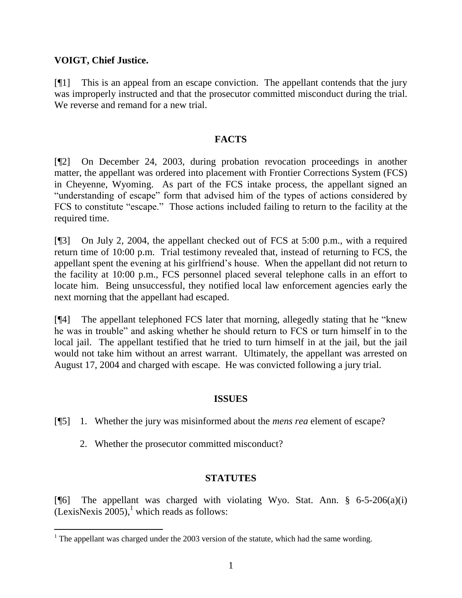## **VOIGT, Chief Justice.**

 $\overline{a}$ 

[¶1] This is an appeal from an escape conviction. The appellant contends that the jury was improperly instructed and that the prosecutor committed misconduct during the trial. We reverse and remand for a new trial.

## **FACTS**

[¶2] On December 24, 2003, during probation revocation proceedings in another matter, the appellant was ordered into placement with Frontier Corrections System (FCS) in Cheyenne, Wyoming. As part of the FCS intake process, the appellant signed an "understanding of escape" form that advised him of the types of actions considered by FCS to constitute "escape." Those actions included failing to return to the facility at the required time.

[¶3] On July 2, 2004, the appellant checked out of FCS at 5:00 p.m., with a required return time of 10:00 p.m. Trial testimony revealed that, instead of returning to FCS, the appellant spent the evening at his girlfriend's house. When the appellant did not return to the facility at 10:00 p.m., FCS personnel placed several telephone calls in an effort to locate him. Being unsuccessful, they notified local law enforcement agencies early the next morning that the appellant had escaped.

 $[$ [4] The appellant telephoned FCS later that morning, allegedly stating that he "knew" he was in trouble" and asking whether he should return to FCS or turn himself in to the local jail. The appellant testified that he tried to turn himself in at the jail, but the jail would not take him without an arrest warrant. Ultimately, the appellant was arrested on August 17, 2004 and charged with escape. He was convicted following a jury trial.

#### **ISSUES**

[¶5] 1. Whether the jury was misinformed about the *mens rea* element of escape?

2. Whether the prosecutor committed misconduct?

# **STATUTES**

[ $[$ [6] The appellant was charged with violating Wyo. Stat. Ann. § 6-5-206(a)(i)  $(LexisNexis 2005)$ ,<sup>1</sup> which reads as follows:

 $1$  The appellant was charged under the 2003 version of the statute, which had the same wording.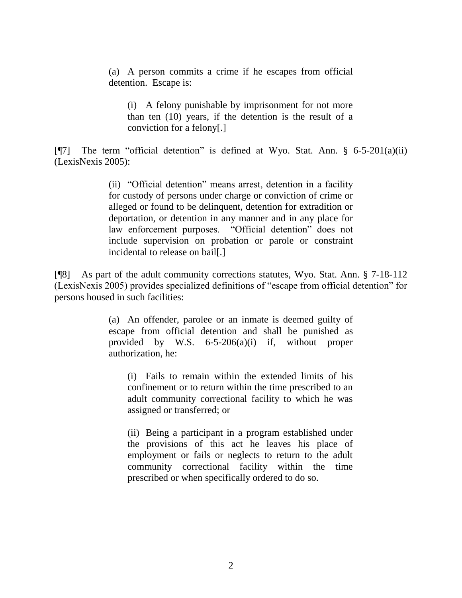(a) A person commits a crime if he escapes from official detention. Escape is:

(i) A felony punishable by imprisonment for not more than ten (10) years, if the detention is the result of a conviction for a felony[.]

[ $\sqrt{7}$ ] The term "official detention" is defined at Wyo. Stat. Ann. § 6-5-201(a)(ii) (LexisNexis 2005):

> (ii) "Official detention" means arrest, detention in a facility for custody of persons under charge or conviction of crime or alleged or found to be delinquent, detention for extradition or deportation, or detention in any manner and in any place for law enforcement purposes. "Official detention" does not include supervision on probation or parole or constraint incidental to release on bail[.]

[¶8] As part of the adult community corrections statutes, Wyo. Stat. Ann. § 7-18-112 (LexisNexis 2005) provides specialized definitions of "escape from official detention" for persons housed in such facilities:

> (a) An offender, parolee or an inmate is deemed guilty of escape from official detention and shall be punished as provided by W.S. 6-5-206(a)(i) if, without proper authorization, he:

(i) Fails to remain within the extended limits of his confinement or to return within the time prescribed to an adult community correctional facility to which he was assigned or transferred; or

(ii) Being a participant in a program established under the provisions of this act he leaves his place of employment or fails or neglects to return to the adult community correctional facility within the time prescribed or when specifically ordered to do so.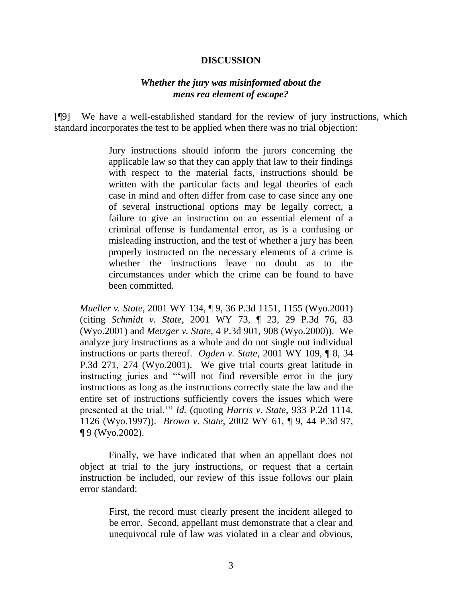#### **DISCUSSION**

## *Whether the jury was misinformed about the mens rea element of escape?*

[¶9] We have a well-established standard for the review of jury instructions, which standard incorporates the test to be applied when there was no trial objection:

> Jury instructions should inform the jurors concerning the applicable law so that they can apply that law to their findings with respect to the material facts, instructions should be written with the particular facts and legal theories of each case in mind and often differ from case to case since any one of several instructional options may be legally correct, a failure to give an instruction on an essential element of a criminal offense is fundamental error, as is a confusing or misleading instruction, and the test of whether a jury has been properly instructed on the necessary elements of a crime is whether the instructions leave no doubt as to the circumstances under which the crime can be found to have been committed.

*Mueller v. State*, 2001 WY 134, ¶ 9, 36 P.3d 1151, 1155 (Wyo.2001) (citing *Schmidt v. State*, 2001 WY 73, ¶ 23, 29 P.3d 76, 83 (Wyo.2001) and *Metzger v. State*, 4 P.3d 901, 908 (Wyo.2000)). We analyze jury instructions as a whole and do not single out individual instructions or parts thereof. *Ogden v. State*, 2001 WY 109, ¶ 8, 34 P.3d 271, 274 (Wyo.2001). We give trial courts great latitude in instructing juries and "will not find reversible error in the jury instructions as long as the instructions correctly state the law and the entire set of instructions sufficiently covers the issues which were presented at the trial."" *Id.* (quoting *Harris v. State*, 933 P.2d 1114, 1126 (Wyo.1997)). *Brown v. State*, 2002 WY 61, ¶ 9, 44 P.3d 97, ¶ 9 (Wyo.2002).

Finally, we have indicated that when an appellant does not object at trial to the jury instructions, or request that a certain instruction be included, our review of this issue follows our plain error standard:

> First, the record must clearly present the incident alleged to be error. Second, appellant must demonstrate that a clear and unequivocal rule of law was violated in a clear and obvious,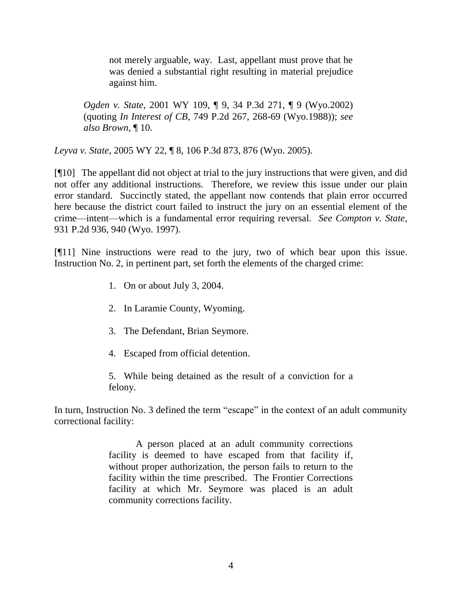not merely arguable, way. Last, appellant must prove that he was denied a substantial right resulting in material prejudice against him.

*Ogden v. State*, 2001 WY 109, ¶ 9, 34 P.3d 271, ¶ 9 (Wyo.2002) (quoting *In Interest of CB*, 749 P.2d 267, 268-69 (Wyo.1988)); *see also Brown*, ¶ 10.

*Leyva v. State*, 2005 WY 22, ¶ 8, 106 P.3d 873, 876 (Wyo. 2005).

[¶10] The appellant did not object at trial to the jury instructions that were given, and did not offer any additional instructions. Therefore, we review this issue under our plain error standard. Succinctly stated, the appellant now contends that plain error occurred here because the district court failed to instruct the jury on an essential element of the crime—intent—which is a fundamental error requiring reversal. *See Compton v. State*, 931 P.2d 936, 940 (Wyo. 1997).

[¶11] Nine instructions were read to the jury, two of which bear upon this issue. Instruction No. 2, in pertinent part, set forth the elements of the charged crime:

- 1. On or about July 3, 2004.
- 2. In Laramie County, Wyoming.
- 3. The Defendant, Brian Seymore.
- 4. Escaped from official detention.

5. While being detained as the result of a conviction for a felony.

In turn, Instruction No. 3 defined the term "escape" in the context of an adult community correctional facility:

> A person placed at an adult community corrections facility is deemed to have escaped from that facility if, without proper authorization, the person fails to return to the facility within the time prescribed. The Frontier Corrections facility at which Mr. Seymore was placed is an adult community corrections facility.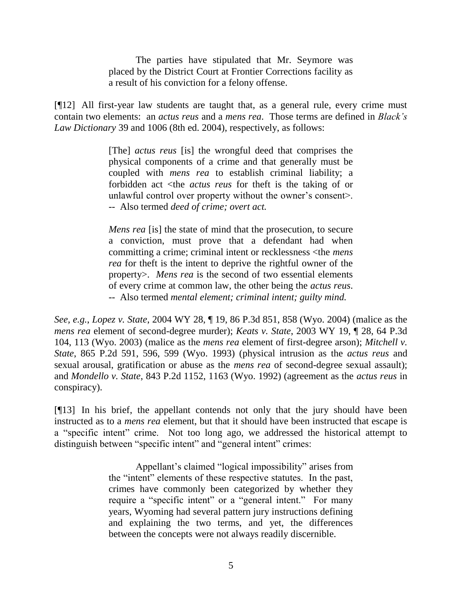The parties have stipulated that Mr. Seymore was placed by the District Court at Frontier Corrections facility as a result of his conviction for a felony offense.

[¶12] All first-year law students are taught that, as a general rule, every crime must contain two elements: an *actus reus* and a *mens rea*. Those terms are defined in *Black's Law Dictionary* 39 and 1006 (8th ed. 2004), respectively, as follows:

> [The] *actus reus* [is] the wrongful deed that comprises the physical components of a crime and that generally must be coupled with *mens rea* to establish criminal liability; a forbidden act <the *actus reus* for theft is the taking of or unlawful control over property without the owner's consent>. -- Also termed *deed of crime; overt act.*

> *Mens rea* [is] the state of mind that the prosecution, to secure a conviction, must prove that a defendant had when committing a crime; criminal intent or recklessness <the *mens rea* for theft is the intent to deprive the rightful owner of the property>. *Mens rea* is the second of two essential elements of every crime at common law, the other being the *actus reus*. -- Also termed *mental element; criminal intent; guilty mind.*

*See, e.g.*, *Lopez v. State*, 2004 WY 28, ¶ 19, 86 P.3d 851, 858 (Wyo. 2004) (malice as the *mens rea* element of second-degree murder); *Keats v. State*, 2003 WY 19, ¶ 28, 64 P.3d 104, 113 (Wyo. 2003) (malice as the *mens rea* element of first-degree arson); *Mitchell v. State*, 865 P.2d 591, 596, 599 (Wyo. 1993) (physical intrusion as the *actus reus* and sexual arousal, gratification or abuse as the *mens rea* of second-degree sexual assault); and *Mondello v. State*, 843 P.2d 1152, 1163 (Wyo. 1992) (agreement as the *actus reus* in conspiracy).

[¶13] In his brief, the appellant contends not only that the jury should have been instructed as to a *mens rea* element, but that it should have been instructed that escape is a "specific intent" crime. Not too long ago, we addressed the historical attempt to distinguish between "specific intent" and "general intent" crimes:

> Appellant's claimed "logical impossibility" arises from the "intent" elements of these respective statutes. In the past, crimes have commonly been categorized by whether they require a "specific intent" or a "general intent." For many years, Wyoming had several pattern jury instructions defining and explaining the two terms, and yet, the differences between the concepts were not always readily discernible.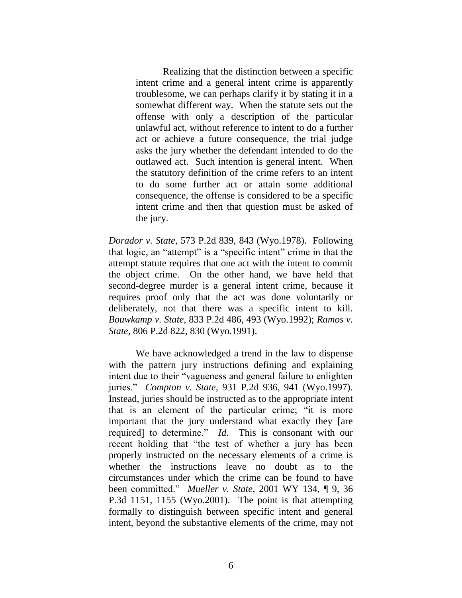Realizing that the distinction between a specific intent crime and a general intent crime is apparently troublesome, we can perhaps clarify it by stating it in a somewhat different way. When the statute sets out the offense with only a description of the particular unlawful act, without reference to intent to do a further act or achieve a future consequence, the trial judge asks the jury whether the defendant intended to do the outlawed act. Such intention is general intent. When the statutory definition of the crime refers to an intent to do some further act or attain some additional consequence, the offense is considered to be a specific intent crime and then that question must be asked of the jury.

*Dorador v. State*, 573 P.2d 839, 843 (Wyo.1978). Following that logic, an "attempt" is a "specific intent" crime in that the attempt statute requires that one act with the intent to commit the object crime. On the other hand, we have held that second-degree murder is a general intent crime, because it requires proof only that the act was done voluntarily or deliberately, not that there was a specific intent to kill. *Bouwkamp v. State*, 833 P.2d 486, 493 (Wyo.1992); *Ramos v. State*, 806 P.2d 822, 830 (Wyo.1991).

We have acknowledged a trend in the law to dispense with the pattern jury instructions defining and explaining intent due to their "vagueness and general failure to enlighten juries.‖ *Compton v. State*, 931 P.2d 936, 941 (Wyo.1997). Instead, juries should be instructed as to the appropriate intent that is an element of the particular crime; "it is more important that the jury understand what exactly they [are required] to determine." *Id.* This is consonant with our recent holding that "the test of whether a jury has been properly instructed on the necessary elements of a crime is whether the instructions leave no doubt as to the circumstances under which the crime can be found to have been committed.‖ *Mueller v. State*, 2001 WY 134, ¶ 9, 36 P.3d 1151, 1155 (Wyo.2001). The point is that attempting formally to distinguish between specific intent and general intent, beyond the substantive elements of the crime, may not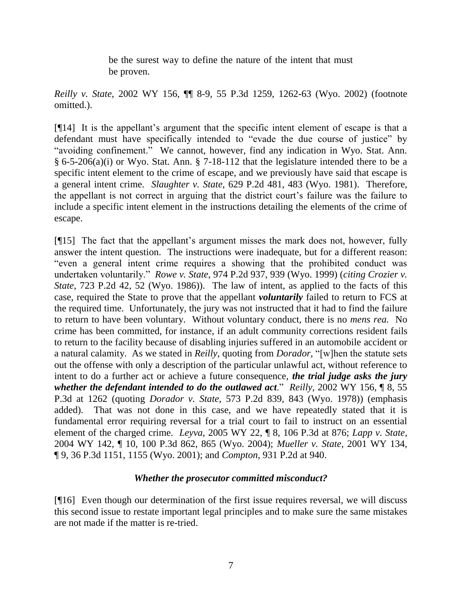be the surest way to define the nature of the intent that must be proven.

*Reilly v. State*, 2002 WY 156, ¶¶ 8-9, 55 P.3d 1259, 1262-63 (Wyo. 2002) (footnote omitted.).

[¶14] It is the appellant's argument that the specific intent element of escape is that a defendant must have specifically intended to "evade the due course of justice" by "avoiding confinement." We cannot, however, find any indication in Wyo. Stat. Ann. § 6-5-206(a)(i) or Wyo. Stat. Ann. § 7-18-112 that the legislature intended there to be a specific intent element to the crime of escape, and we previously have said that escape is a general intent crime. *Slaughter v. State*, 629 P.2d 481, 483 (Wyo. 1981). Therefore, the appellant is not correct in arguing that the district court's failure was the failure to include a specific intent element in the instructions detailing the elements of the crime of escape.

[¶15] The fact that the appellant's argument misses the mark does not, however, fully answer the intent question. The instructions were inadequate, but for a different reason: ―even a general intent crime requires a showing that the prohibited conduct was undertaken voluntarily." *Rowe v. State*, 974 P.2d 937, 939 (Wyo. 1999) (*citing Crozier v. State*, 723 P.2d 42, 52 (Wyo. 1986)).The law of intent, as applied to the facts of this case, required the State to prove that the appellant *voluntarily* failed to return to FCS at the required time. Unfortunately, the jury was not instructed that it had to find the failure to return to have been voluntary. Without voluntary conduct, there is no *mens rea.* No crime has been committed, for instance, if an adult community corrections resident fails to return to the facility because of disabling injuries suffered in an automobile accident or a natural calamity. As we stated in *Reilly*, quoting from *Dorador*, "[w]hen the statute sets out the offense with only a description of the particular unlawful act, without reference to intent to do a further act or achieve a future consequence, *the trial judge asks the jury whether the defendant intended to do the outlawed act.*" *Reilly, 2002 WY 156,* 18, 55 P.3d at 1262 (quoting *Dorador v. State*, 573 P.2d 839, 843 (Wyo. 1978)) (emphasis added). That was not done in this case, and we have repeatedly stated that it is fundamental error requiring reversal for a trial court to fail to instruct on an essential element of the charged crime. *Leyva*, 2005 WY 22, ¶ 8, 106 P.3d at 876; *Lapp v. State*, 2004 WY 142, ¶ 10, 100 P.3d 862, 865 (Wyo. 2004); *Mueller v. State*, 2001 WY 134, ¶ 9, 36 P.3d 1151, 1155 (Wyo. 2001); and *Compton*, 931 P.2d at 940.

#### *Whether the prosecutor committed misconduct?*

[¶16] Even though our determination of the first issue requires reversal, we will discuss this second issue to restate important legal principles and to make sure the same mistakes are not made if the matter is re-tried.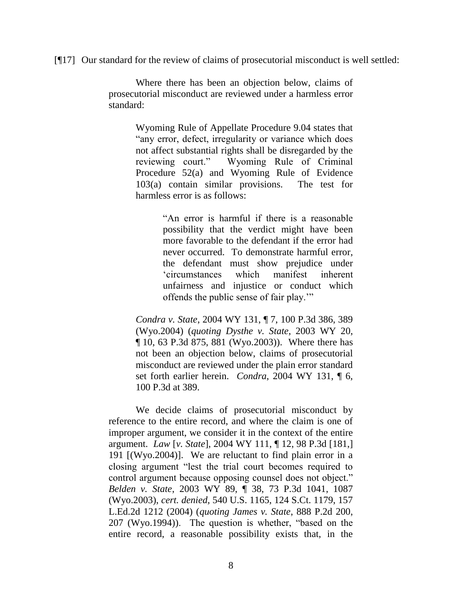[¶17] Our standard for the review of claims of prosecutorial misconduct is well settled:

Where there has been an objection below, claims of prosecutorial misconduct are reviewed under a harmless error standard:

> Wyoming Rule of Appellate Procedure 9.04 states that "any error, defect, irregularity or variance which does not affect substantial rights shall be disregarded by the reviewing court." Wyoming Rule of Criminal Procedure 52(a) and Wyoming Rule of Evidence 103(a) contain similar provisions. The test for harmless error is as follows:

> > ―An error is harmful if there is a reasonable possibility that the verdict might have been more favorable to the defendant if the error had never occurred. To demonstrate harmful error, the defendant must show prejudice under ‗circumstances which manifest inherent unfairness and injustice or conduct which offends the public sense of fair play."

*Condra v. State*, 2004 WY 131, ¶ 7, 100 P.3d 386, 389 (Wyo.2004) (*quoting Dysthe v. State*, 2003 WY 20, ¶ 10, 63 P.3d 875, 881 (Wyo.2003)). Where there has not been an objection below, claims of prosecutorial misconduct are reviewed under the plain error standard set forth earlier herein. *Condra*, 2004 WY 131, ¶ 6, 100 P.3d at 389.

We decide claims of prosecutorial misconduct by reference to the entire record, and where the claim is one of improper argument, we consider it in the context of the entire argument. *Law* [*v. State*], 2004 WY 111, ¶ 12, 98 P.3d [181,] 191 [(Wyo.2004)]. We are reluctant to find plain error in a closing argument "lest the trial court becomes required to control argument because opposing counsel does not object." *Belden v. State*, 2003 WY 89, ¶ 38, 73 P.3d 1041, 1087 (Wyo.2003), *cert. denied,* 540 U.S. 1165, 124 S.Ct. 1179, 157 L.Ed.2d 1212 (2004) (*quoting James v. State*, 888 P.2d 200,  $207$  (Wyo.1994)). The question is whether, "based on the entire record, a reasonable possibility exists that, in the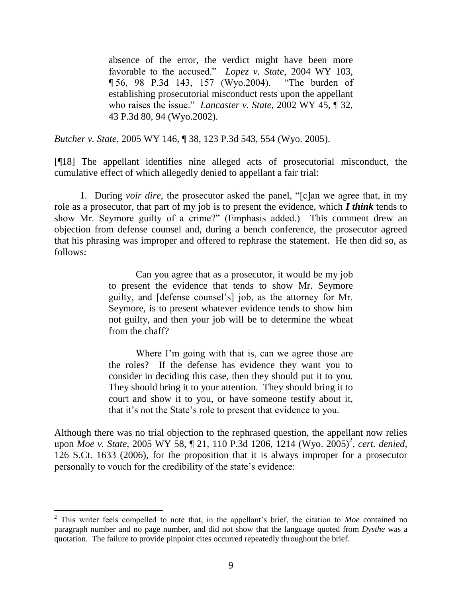absence of the error, the verdict might have been more favorable to the accused." *Lopez v. State*, 2004 WY 103, ¶ 56, 98 P.3d 143, 157 (Wyo.2004). ―The burden of establishing prosecutorial misconduct rests upon the appellant who raises the issue." *Lancaster v. State*, 2002 WY 45, 1 32, 43 P.3d 80, 94 (Wyo.2002).

*Butcher v. State*, 2005 WY 146, ¶ 38, 123 P.3d 543, 554 (Wyo. 2005).

[¶18] The appellant identifies nine alleged acts of prosecutorial misconduct, the cumulative effect of which allegedly denied to appellant a fair trial:

1. During *voir dire*, the prosecutor asked the panel, "[c]an we agree that, in my role as a prosecutor, that part of my job is to present the evidence, which *I think* tends to show Mr. Seymore guilty of a crime?" (Emphasis added.) This comment drew an objection from defense counsel and, during a bench conference, the prosecutor agreed that his phrasing was improper and offered to rephrase the statement. He then did so, as follows:

> Can you agree that as a prosecutor, it would be my job to present the evidence that tends to show Mr. Seymore guilty, and [defense counsel's] job, as the attorney for Mr. Seymore, is to present whatever evidence tends to show him not guilty, and then your job will be to determine the wheat from the chaff?

> Where I'm going with that is, can we agree those are the roles? If the defense has evidence they want you to consider in deciding this case, then they should put it to you. They should bring it to your attention. They should bring it to court and show it to you, or have someone testify about it, that it's not the State's role to present that evidence to you.

Although there was no trial objection to the rephrased question, the appellant now relies upon *Moe v. State*, 2005 WY 58, ¶ 21, 110 P.3d 1206, 1214 (Wyo. 2005)<sup>2</sup>, cert. denied, 126 S.Ct. 1633 (2006), for the proposition that it is always improper for a prosecutor personally to vouch for the credibility of the state's evidence:

<sup>2</sup> This writer feels compelled to note that, in the appellant's brief, the citation to *Moe* contained no paragraph number and no page number, and did not show that the language quoted from *Dysthe* was a quotation. The failure to provide pinpoint cites occurred repeatedly throughout the brief.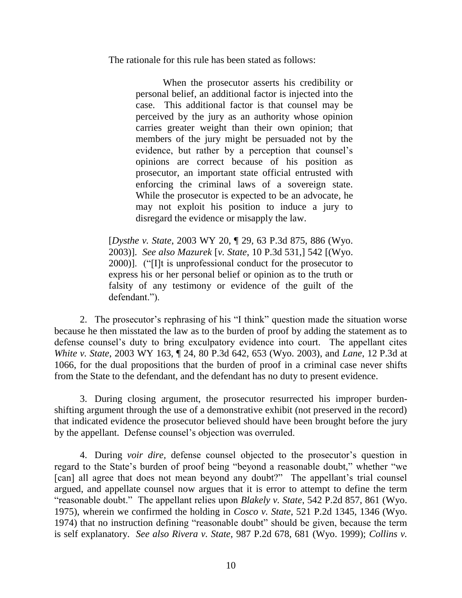The rationale for this rule has been stated as follows:

When the prosecutor asserts his credibility or personal belief, an additional factor is injected into the case. This additional factor is that counsel may be perceived by the jury as an authority whose opinion carries greater weight than their own opinion; that members of the jury might be persuaded not by the evidence, but rather by a perception that counsel's opinions are correct because of his position as prosecutor, an important state official entrusted with enforcing the criminal laws of a sovereign state. While the prosecutor is expected to be an advocate, he may not exploit his position to induce a jury to disregard the evidence or misapply the law.

[*Dysthe v. State*, 2003 WY 20, ¶ 29, 63 P.3d 875, 886 (Wyo. 2003)]. *See also Mazurek* [*v. State*, 10 P.3d 531,] 542 [(Wyo. 2000)]. ("[I]t is unprofessional conduct for the prosecutor to express his or her personal belief or opinion as to the truth or falsity of any testimony or evidence of the guilt of the defendant.").

2. The prosecutor's rephrasing of his "I think" question made the situation worse because he then misstated the law as to the burden of proof by adding the statement as to defense counsel's duty to bring exculpatory evidence into court. The appellant cites *White v. State*, 2003 WY 163, ¶ 24, 80 P.3d 642, 653 (Wyo. 2003), and *Lane*, 12 P.3d at 1066, for the dual propositions that the burden of proof in a criminal case never shifts from the State to the defendant, and the defendant has no duty to present evidence.

3. During closing argument, the prosecutor resurrected his improper burdenshifting argument through the use of a demonstrative exhibit (not preserved in the record) that indicated evidence the prosecutor believed should have been brought before the jury by the appellant. Defense counsel's objection was overruled.

4. During *voir dire,* defense counsel objected to the prosecutor's question in regard to the State's burden of proof being "beyond a reasonable doubt," whether "we [can] all agree that does not mean beyond any doubt?" The appellant's trial counsel argued, and appellate counsel now argues that it is error to attempt to define the term "reasonable doubt." The appellant relies upon *Blakely v. State*, 542 P.2d 857, 861 (Wyo. 1975), wherein we confirmed the holding in *Cosco v. State*, 521 P.2d 1345, 1346 (Wyo. 1974) that no instruction defining "reasonable doubt" should be given, because the term is self explanatory. *See also Rivera v. State*, 987 P.2d 678, 681 (Wyo. 1999); *Collins v.*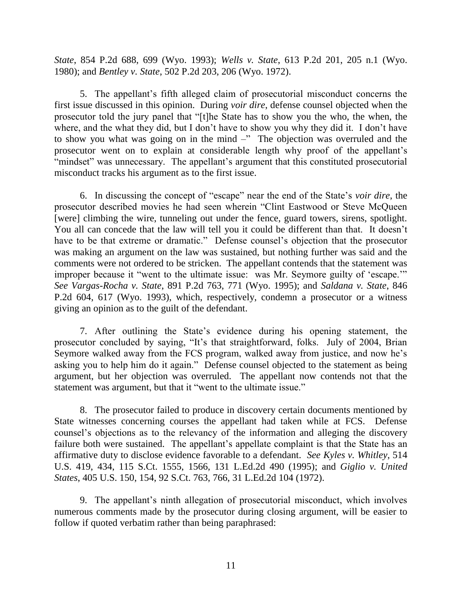*State*, 854 P.2d 688, 699 (Wyo. 1993); *Wells v. State*, 613 P.2d 201, 205 n.1 (Wyo. 1980); and *Bentley v. State*, 502 P.2d 203, 206 (Wyo. 1972).

5. The appellant's fifth alleged claim of prosecutorial misconduct concerns the first issue discussed in this opinion. During *voir dire*, defense counsel objected when the prosecutor told the jury panel that "[t]he State has to show you the who, the when, the where, and the what they did, but I don't have to show you why they did it. I don't have to show you what was going on in the mind  $-$ " The objection was overruled and the prosecutor went on to explain at considerable length why proof of the appellant's "mindset" was unnecessary. The appellant's argument that this constituted prosecutorial misconduct tracks his argument as to the first issue.

6. In discussing the concept of "escape" near the end of the State's *voir dire*, the prosecutor described movies he had seen wherein "Clint Eastwood or Steve McQueen [were] climbing the wire, tunneling out under the fence, guard towers, sirens, spotlight. You all can concede that the law will tell you it could be different than that. It doesn't have to be that extreme or dramatic." Defense counsel's objection that the prosecutor was making an argument on the law was sustained, but nothing further was said and the comments were not ordered to be stricken. The appellant contends that the statement was improper because it "went to the ultimate issue: was Mr. Seymore guilty of 'escape." *See Vargas-Rocha v. State*, 891 P.2d 763, 771 (Wyo. 1995); and *Saldana v. State*, 846 P.2d 604, 617 (Wyo. 1993), which, respectively, condemn a prosecutor or a witness giving an opinion as to the guilt of the defendant.

7. After outlining the State's evidence during his opening statement, the prosecutor concluded by saying, "It's that straightforward, folks. July of 2004, Brian Seymore walked away from the FCS program, walked away from justice, and now he's asking you to help him do it again." Defense counsel objected to the statement as being argument, but her objection was overruled. The appellant now contends not that the statement was argument, but that it "went to the ultimate issue."

8. The prosecutor failed to produce in discovery certain documents mentioned by State witnesses concerning courses the appellant had taken while at FCS. Defense counsel's objections as to the relevancy of the information and alleging the discovery failure both were sustained. The appellant's appellate complaint is that the State has an affirmative duty to disclose evidence favorable to a defendant. *See Kyles v. Whitley*, 514 U.S. 419, 434, 115 S.Ct. 1555, 1566, 131 L.Ed.2d 490 (1995); and *Giglio v. United States*, 405 U.S. 150, 154, 92 S.Ct. 763, 766, 31 L.Ed.2d 104 (1972).

9. The appellant's ninth allegation of prosecutorial misconduct, which involves numerous comments made by the prosecutor during closing argument, will be easier to follow if quoted verbatim rather than being paraphrased: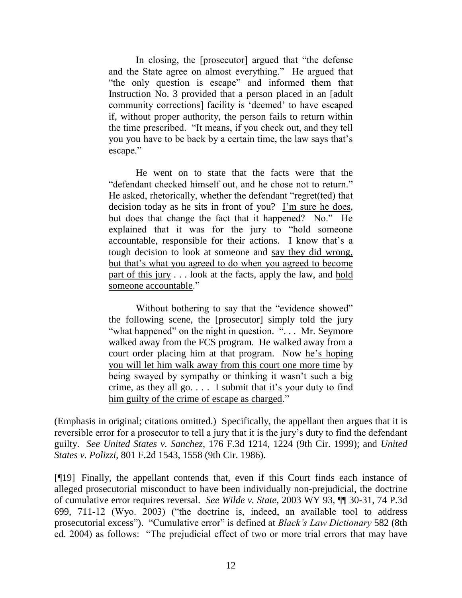In closing, the [prosecutor] argued that "the defense and the State agree on almost everything." He argued that "the only question is escape" and informed them that Instruction No. 3 provided that a person placed in an [adult community corrections] facility is 'deemed' to have escaped if, without proper authority, the person fails to return within the time prescribed. "It means, if you check out, and they tell you you have to be back by a certain time, the law says that's escape."

He went on to state that the facts were that the "defendant checked himself out, and he chose not to return." He asked, rhetorically, whether the defendant "regret(ted) that decision today as he sits in front of you? I'm sure he does, but does that change the fact that it happened? No." He explained that it was for the jury to "hold someone accountable, responsible for their actions. I know that's a tough decision to look at someone and say they did wrong, but that's what you agreed to do when you agreed to become part of this jury . . . look at the facts, apply the law, and hold someone accountable."

Without bothering to say that the "evidence showed" the following scene, the [prosecutor] simply told the jury "what happened" on the night in question. "... Mr. Seymore walked away from the FCS program. He walked away from a court order placing him at that program. Now he's hoping you will let him walk away from this court one more time by being swayed by sympathy or thinking it wasn't such a big crime, as they all go.  $\ldots$  I submit that it's your duty to find him guilty of the crime of escape as charged."

(Emphasis in original; citations omitted.) Specifically, the appellant then argues that it is reversible error for a prosecutor to tell a jury that it is the jury's duty to find the defendant guilty. *See United States v. Sanchez*, 176 F.3d 1214, 1224 (9th Cir. 1999); and *United States v. Polizzi*, 801 F.2d 1543, 1558 (9th Cir. 1986).

[¶19] Finally, the appellant contends that, even if this Court finds each instance of alleged prosecutorial misconduct to have been individually non-prejudicial, the doctrine of cumulative error requires reversal. *See Wilde v. State*, 2003 WY 93, ¶¶ 30-31, 74 P.3d 699,  $711-12$  (Wyo. 2003) ("the doctrine is, indeed, an available tool to address prosecutorial excess"). "Cumulative error" is defined at *Black's Law Dictionary* 582 (8th ed. 2004) as follows: "The prejudicial effect of two or more trial errors that may have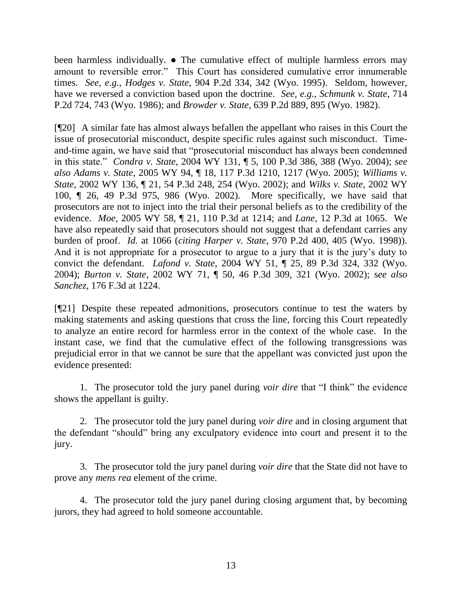been harmless individually. ● The cumulative effect of multiple harmless errors may amount to reversible error." This Court has considered cumulative error innumerable times. *See, e.g.*, *Hodges v. State*, 904 P.2d 334, 342 (Wyo. 1995). Seldom, however, have we reversed a conviction based upon the doctrine. *See, e.g.*, *Schmunk v. State*, 714 P.2d 724, 743 (Wyo. 1986); and *Browder v. State*, 639 P.2d 889, 895 (Wyo. 1982).

[¶20] A similar fate has almost always befallen the appellant who raises in this Court the issue of prosecutorial misconduct, despite specific rules against such misconduct. Timeand-time again, we have said that "prosecutorial misconduct has always been condemned in this state.‖ *Condra v. State*, 2004 WY 131, ¶ 5, 100 P.3d 386, 388 (Wyo. 2004); *see also Adams v. State*, 2005 WY 94, ¶ 18, 117 P.3d 1210, 1217 (Wyo. 2005); *Williams v. State*, 2002 WY 136, ¶ 21, 54 P.3d 248, 254 (Wyo. 2002); and *Wilks v. State*, 2002 WY 100, ¶ 26, 49 P.3d 975, 986 (Wyo. 2002). More specifically, we have said that prosecutors are not to inject into the trial their personal beliefs as to the credibility of the evidence. *Moe*, 2005 WY 58, ¶ 21, 110 P.3d at 1214; and *Lane*, 12 P.3d at 1065. We have also repeatedly said that prosecutors should not suggest that a defendant carries any burden of proof. *Id.* at 1066 (*citing Harper v. State*, 970 P.2d 400, 405 (Wyo. 1998)). And it is not appropriate for a prosecutor to argue to a jury that it is the jury's duty to convict the defendant. *Lafond v. State*, 2004 WY 51, ¶ 25, 89 P.3d 324, 332 (Wyo. 2004); *Burton v. State*, 2002 WY 71, ¶ 50, 46 P.3d 309, 321 (Wyo. 2002); s*ee also Sanchez*, 176 F.3d at 1224.

[¶21] Despite these repeated admonitions, prosecutors continue to test the waters by making statements and asking questions that cross the line, forcing this Court repeatedly to analyze an entire record for harmless error in the context of the whole case. In the instant case, we find that the cumulative effect of the following transgressions was prejudicial error in that we cannot be sure that the appellant was convicted just upon the evidence presented:

1. The prosecutor told the jury panel during *voir dire* that "I think" the evidence shows the appellant is guilty.

2. The prosecutor told the jury panel during *voir dire* and in closing argument that the defendant "should" bring any exculpatory evidence into court and present it to the jury.

3. The prosecutor told the jury panel during *voir dire* that the State did not have to prove any *mens rea* element of the crime.

4. The prosecutor told the jury panel during closing argument that, by becoming jurors, they had agreed to hold someone accountable.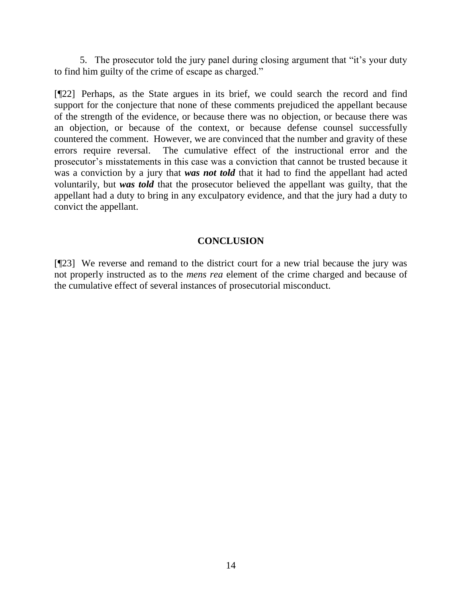5. The prosecutor told the jury panel during closing argument that "it's your duty" to find him guilty of the crime of escape as charged."

[¶22] Perhaps, as the State argues in its brief, we could search the record and find support for the conjecture that none of these comments prejudiced the appellant because of the strength of the evidence, or because there was no objection, or because there was an objection, or because of the context, or because defense counsel successfully countered the comment. However, we are convinced that the number and gravity of these errors require reversal. The cumulative effect of the instructional error and the prosecutor's misstatements in this case was a conviction that cannot be trusted because it was a conviction by a jury that *was not told* that it had to find the appellant had acted voluntarily, but *was told* that the prosecutor believed the appellant was guilty, that the appellant had a duty to bring in any exculpatory evidence, and that the jury had a duty to convict the appellant.

#### **CONCLUSION**

[¶23] We reverse and remand to the district court for a new trial because the jury was not properly instructed as to the *mens rea* element of the crime charged and because of the cumulative effect of several instances of prosecutorial misconduct.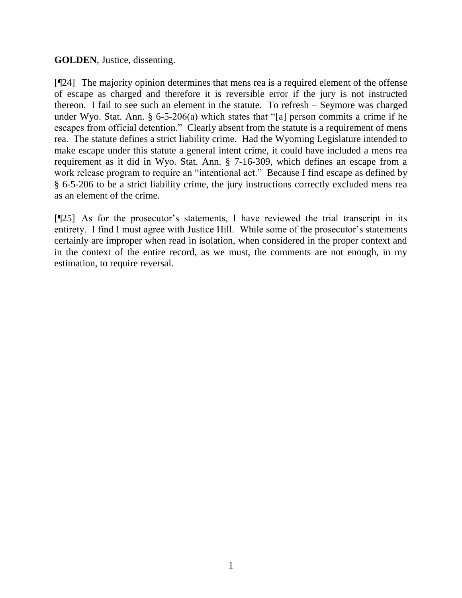## **GOLDEN**, Justice, dissenting.

[¶24] The majority opinion determines that mens rea is a required element of the offense of escape as charged and therefore it is reversible error if the jury is not instructed thereon. I fail to see such an element in the statute. To refresh – Seymore was charged under Wyo. Stat. Ann.  $\S$  6-5-206(a) which states that "[a] person commits a crime if he escapes from official detention." Clearly absent from the statute is a requirement of mens rea. The statute defines a strict liability crime. Had the Wyoming Legislature intended to make escape under this statute a general intent crime, it could have included a mens rea requirement as it did in Wyo. Stat. Ann. § 7-16-309, which defines an escape from a work release program to require an "intentional act." Because I find escape as defined by § 6-5-206 to be a strict liability crime, the jury instructions correctly excluded mens rea as an element of the crime.

[¶25] As for the prosecutor's statements, I have reviewed the trial transcript in its entirety. I find I must agree with Justice Hill. While some of the prosecutor's statements certainly are improper when read in isolation, when considered in the proper context and in the context of the entire record, as we must, the comments are not enough, in my estimation, to require reversal.